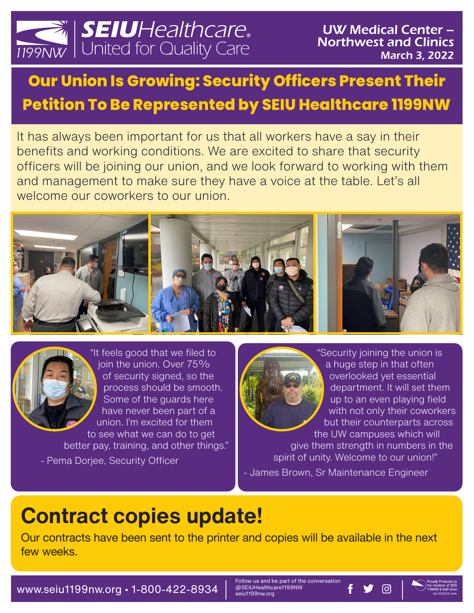

## **Our Union Is Growing: Security Officers Present Their Petition To Be Represented by SEIU Healthcare 1199NW**

It has always been important for us that all workers have a say in their benefits and working conditions. We are excited to share that security officers will be joining our union, and we look forward to working with them and management to make sure they have a voice at the table. Let's all welcome our coworkers to our union.





better pay, training, and other things." - Pema Dorjee, Security Officer

"Security joining the union is a huge step in that often overlooked yet essential department. It will set them up to an even playing field with not only their coworkers but their counterparts across the UW campuses which will give them strength in numbers in the spirit of unity. Welcome to our union!" - James Brown, Sr Maintenance Engineer

## **Contract copies update!**

Our contracts have been sent to the printer and copies will be available in the next few weeks.

WWW.Seiu1199nw.org • 1-800-422-8934  $\frac{1}{2}$  seiu1199nw.org **f**  $\bullet$  0

Follow us and be part of the conversation<br>@SEIUHealthcare1199NW